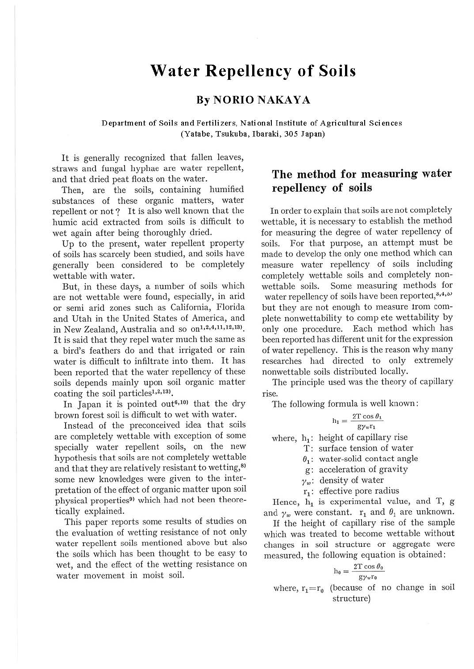# **Water Repellency of Soils**

## **By NORIO NAKAYA**

Department of Soils and Fertilizers, National Institute of Agricultural Sciences (Yatabe, Tsukuba, Ibaraki, 305 Japan)

It is generally recognized that fallen leaves, straws and fungal hyphae are water repellent, and that dried peat floats on the water.

Then, are the soils, containing humified substances of these organic matters, water repellent or not? It is also well known that the humic acid extracted from soils is difficult to wet again after being thoroughly dried.

Up to the present, water repellent property of soils has scarcely been studied, and soils have generally been considered to be completely wettable with water.

But, in these days, a number of soils which are not wettable were found, especially, in arid or semi arid zones such as California, Florida and Utah in the United States of America, and in New Zealand, Australia and so on<sup>1,2,4,11,12,13)</sup>. It is said that they repel water much the same as a bird's feathers do and that irrigated or rain water is difficult to infiltrate into them. It has been reported that the water repellency of these soils depends mainly upon soil organic matter coating the soil particles<sup>1,2,13</sup>).

In Japan it is pointed out<sup>6,10)</sup> that the dry brown forest soil is difficult to wet with water.

Instead of the preconceived idea that soils are completely wettable with exception of some specially water repellent soils, on the new hypothesis that soils are not completely wettable and that they are relatively resistant to wetting,<sup>8)</sup> some new knowledges were given to the interpretation of the effect of organic matter upon soil physical properties<sup>9)</sup> which had not been theoretically explained.

This paper reports some results of studies on the evaluation of wetting resistance of not only water repellent soils mentioned above but also the soils which has been thought to be easy to wet, and the effect of the wetting resistance on water movement in moist soil.

# **The method for measuring water repellency of soils**

**In** order to explain that soils are not completely wettable, it is necessary to establish the method for measuring the degree of water repellency of soils. For that purpose, an attempt must be made to develop the only one method which can measure water repellency of soils including completely wettable soils and completely nonwettable soils. Some measuring methods for water repellency of soils have been reported, 3,4,5) but they are not enough to measure trom complete nonwettability to compete wettability by only one procedure. Each method which has been reported has different unit for the expression of water repellency. This is the reason why many researches had directed to only extremely nonwettable soils distributed locally.

The principle used was the theory of capillary rise.

The following formula is well known :

$$
h_1 = \frac{2T\cos\theta_1}{g\gamma_w r_1}
$$

where,  $h_1$ : height of capillary rise

T: surface tension of water

 $\theta_i$ : water-solid contact angle

g: acceleration of gravity

 $\gamma_w$ : density of water

 $r_1$ : effective pore radius

Hence,  $h_1$  is experimental value, and T, g and  $\gamma_w$  were constant.  $r_1$  and  $\theta_1$  are unknown.

If the height of capillary rise of the sample which was treated to become wettable without changes in soil structure or aggregate were measured, the following equation is obtained :

$$
h_0 = \frac{2T \cos \theta_0}{g \gamma_w r_0}
$$

where,  $r_1 = r_0$  (because of no change in soil structure)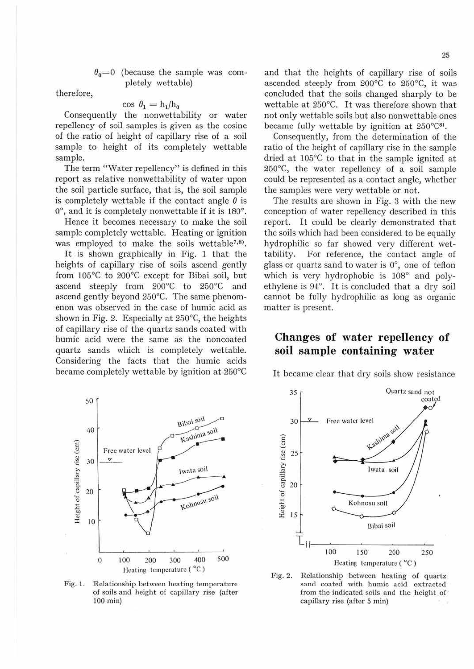$\theta_0 = 0$  (because the sample was completely wettable)

therefore,

cos  $\theta_1 = h_1/h_0$ 

Consequently the nonwettability or water repellency of soil samples is given as the cosine of the ratio of height of capillary rise of a soil sample to height of its completely wettable sample.

The term "Water repellency" is defined in this report as relative nonwettability of water upon the soil particle surface, that is, the soil sample is completely wettable if the contact angle  $\theta$  is O°, and it is completely nonwettable if it is 180°.

Hence it becomes necessary to make the soil sample completely wettable. Heating or ignition was employed to make the soils wettable<sup>7,8)</sup>.

It is shown graphically in Fig. 1 that the heights of capillary rise of soils ascend gently from 105°C to 200°C except for Bibai soil, but ascend steeply from 200°C to 250°C and ascend gently beyond 250°C. The same phenomenon was observed in the case of humic acid as shown in Fig. 2. Especially at 250°C, the heights of capillary rise of the quartz sands coated with humic acid were the same as the noncoated quartz sands which is completely wettable. Considering the facts that the humic acids became completely wettable by ignition at 250°C



Fig. **1.**  Relationship between heating temperature of soils and height of capillary rise (after 100 min)

and that the heights of capillary rise of soils ascended steeply from 200°c to 250°C, it was concluded that the soils changed sharply to be wettable at 250°C. It was therefore shown that not only wettable soils but also nonwettable ones became fully wettable by ignition at  $250^{\circ}C^{8}$ .

Consequently, from the determination of the ratio of the height of capillary rise in the sample dried at 105°C to that in the sample ignited at 250°C, the water repellency of a soil sample could be represented as a contact angle, whether the samples were very wettable or not.

The results are shown in Fig. 3 with the new conception of water repellency described in this report. It could be clearly demonstrated that the soils which had been considered to be equally hydrophilic so far showed very different wettability. For reference, the contact angle of glass or quartz sand to water is 0°, one of teflon which is very hydrophobic is 108° and polyethylene is 94°. It is concluded that a dry soil cannot be fully hydrophilic as long as organic matter is present.

## **Changes of water repellency of soil sample containing water**

It became clear that dry soils show resistance



Fig. 2. Relationship between heating of quartz sand coated with humic acid extracted from the indicated soils and the height of capillary rise (after 5 min)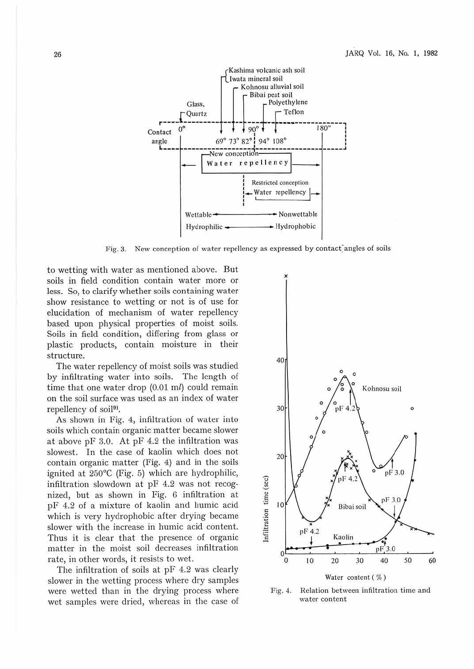

Fig. 3. New conception of water repellency as expressed by contact angles of soils

to wetting with water as mentioned above. But soils in field condition contain water more or less. So, to clarify whether soils containing water show resistance to wetting or not is of use for elucidation of mechanism of water repellency based upon physical properties of moist soils. Soils in field condition, differing from glass or plastic products, contain moisture in their structure.

The water repellency of moist soils was studied by infiltrating water into soils. The length of time that one water drop  $(0.01 \text{ m})$  could remain on the soil surface was used as an index of water repellency of soil<sup>9)</sup>.

As shown in Fig. 4, infiltration of water into soils which contain organic matter became slower at above pF 3.0. At pF 4.2 the infiltration was slowest. In the case of kaolin which does not contain organic matter (Fig. 4) and in the soils ignited at 250°C (Fig. 5) which are hydrophilic, infiltration slowdown at pF 4.2 was not recognized, but as shown in Fig. 6 infiltration at pF 4.2 of a mixture of kaolin and humic acid which is very hydrophobic after drying became slower with the increase in humic acid content. Thus it is clear that the presence of organic matter in the moist soil decreases infiltration rate, in other words, it resists to wet.

The infiltration of soils at pF 4.2 was clearly slower in the wetting process where dry samples were wetted than in the drying process where wet samples were dried, whereas in the case of



Fig. 4. Relation between infiltration time and water content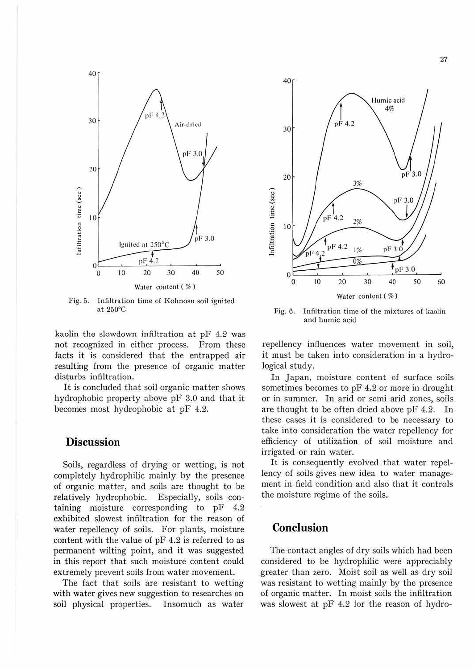

Fig. 5. Infiltration time of Kohnosu soil ignited at 250°C

kaolin the slowdown infiltration at pF 4.2 was not recognized in either process. From these facts it is considered that the entrapped air resulting from the presence of organic matter disturbs infiltration.

It is concluded that soil organic matter shows hydrophobic property above pF 3.0 and that it becomes most hydrophobic at pF 4.2.

#### **Discussion**

Soils, regardless of drying or wetting, is not completely hydrophilic mainly by the presence of organic matter, and soils are thought to be relatively hydrophobic. Especially, soils containing moisture corresponding to pF 4.2 exhibited slowest infiltration for the reason of water repellency of soils. For plants, moisture content with the value of pF 4.2 is referred to as permanent wilting point, and it was suggested in this report that such moisture content could extremely prevent soils from water movement.

The fact that soils are resistant to wetting with water gives new suggestion to researches on soil physical properties. Insomuch as water



Fig. 6. Infiltration time of the mixtures of kaolin and humic acid

repellency influences water movement in soil, it must be taken into consideration in a hydrological study.

In Japan, moisture content of surface soils sometimes becomes to pF 4.2 or more in drought or in summer. In arid or semi arid zones, soils are thought to be often dried above pF 4.2. In these cases it is considered to be necessary to take into consideration the water repellency for efficiency of utilization of soil moisture and irrigated or rain water.

It is consequently evolved that water repellency of soils gives new idea to water management in field condition and also that it controls the moisture regime of the soils.

## **Conclusion**

The contact angles of dry soils which had been considered to be hydrophilic were appreciably greater than zero. Moist soil as well as dry soil was resistant to wetting mainly by the presence of organic matter. In moist soils the infiltration was slowest at pF 4.2 for the reason of hydro-